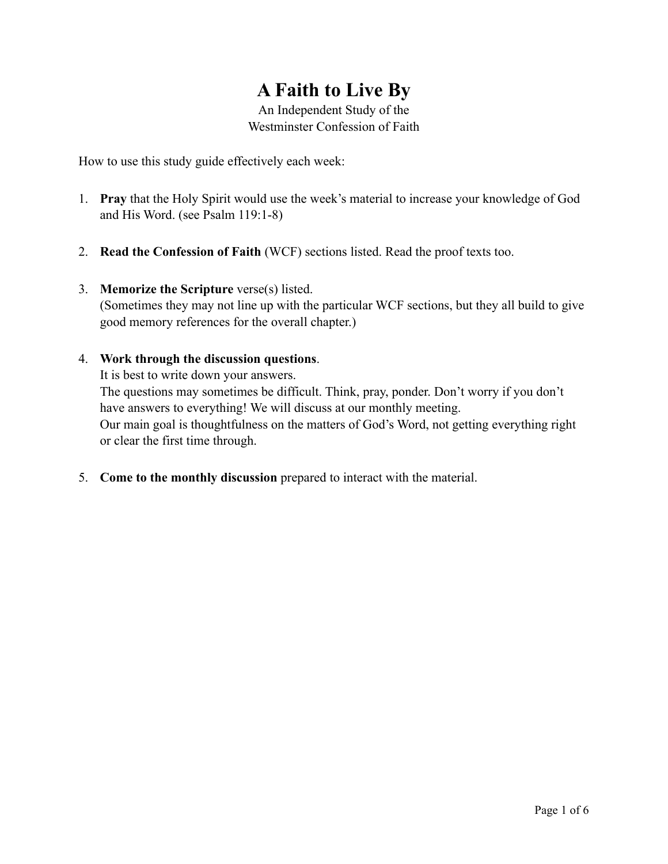# **A Faith to Live By**

An Independent Study of the Westminster Confession of Faith

How to use this study guide effectively each week:

- 1. **Pray** that the Holy Spirit would use the week's material to increase your knowledge of God and His Word. (see Psalm 119:1-8)
- 2. **Read the Confession of Faith** (WCF) sections listed. Read the proof texts too.
- 3. **Memorize the Scripture** verse(s) listed. (Sometimes they may not line up with the particular WCF sections, but they all build to give good memory references for the overall chapter.)
- 4. **Work through the discussion questions**. It is best to write down your answers. The questions may sometimes be difficult. Think, pray, ponder. Don't worry if you don't have answers to everything! We will discuss at our monthly meeting. Our main goal is thoughtfulness on the matters of God's Word, not getting everything right or clear the first time through.
- 5. **Come to the monthly discussion** prepared to interact with the material.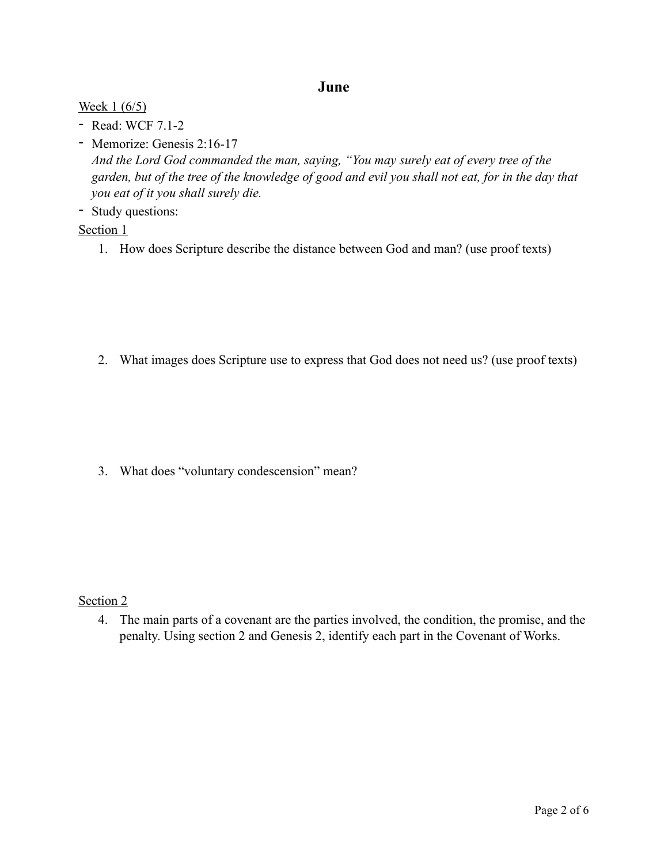## **June**

### Week 1 (6/5)

- Read: WCF 7.1-2
- Memorize: Genesis 2:16-17 *And the Lord God commanded the man, saying, "You may surely eat of every tree of the garden, but of the tree of the knowledge of good and evil you shall not eat, for in the day that you eat of it you shall surely die.*
- Study questions:

## Section 1

1. How does Scripture describe the distance between God and man? (use proof texts)

2. What images does Scripture use to express that God does not need us? (use proof texts)

3. What does "voluntary condescension" mean?

### Section 2

4. The main parts of a covenant are the parties involved, the condition, the promise, and the penalty. Using section 2 and Genesis 2, identify each part in the Covenant of Works.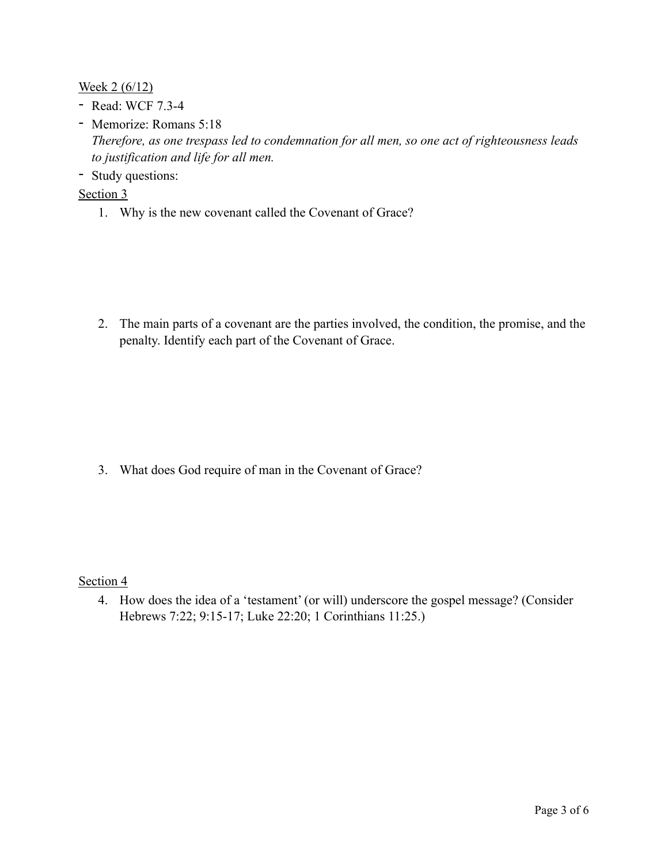Week 2 (6/12)

- Read: WCF 7.3-4
- Memorize: Romans 5:18 *Therefore, as one trespass led to condemnation for all men, so one act of righteousness leads to justification and life for all men.*
- Study questions:

Section 3

1. Why is the new covenant called the Covenant of Grace?

2. The main parts of a covenant are the parties involved, the condition, the promise, and the penalty. Identify each part of the Covenant of Grace.

3. What does God require of man in the Covenant of Grace?

Section 4

4. How does the idea of a 'testament' (or will) underscore the gospel message? (Consider Hebrews 7:22; 9:15-17; Luke 22:20; 1 Corinthians 11:25.)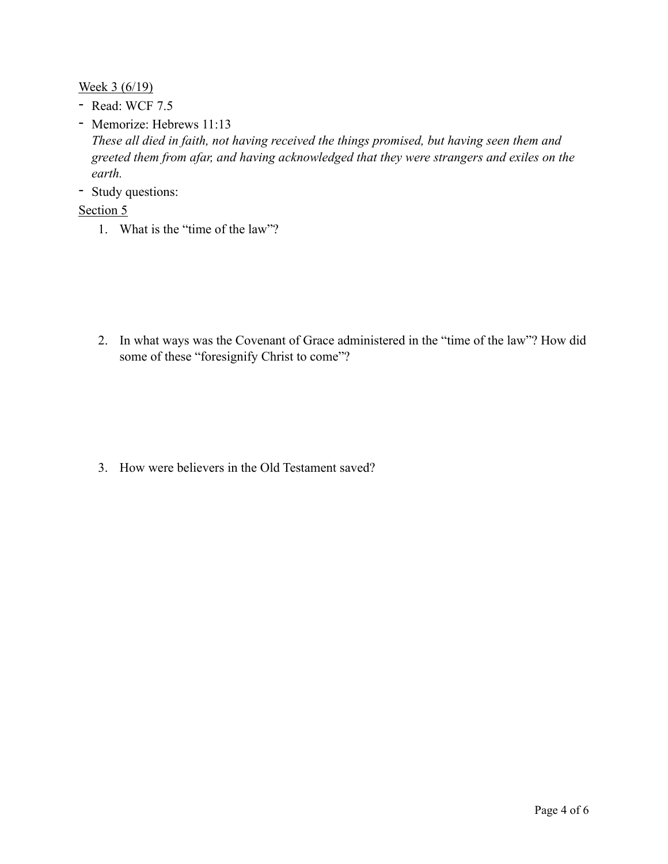Week 3 (6/19)

- Read: WCF 7.5
- Memorize: Hebrews 11:13 *These all died in faith, not having received the things promised, but having seen them and greeted them from afar, and having acknowledged that they were strangers and exiles on the earth.*
- Study questions:

### Section 5

1. What is the "time of the law"?

2. In what ways was the Covenant of Grace administered in the "time of the law"? How did some of these "foresignify Christ to come"?

3. How were believers in the Old Testament saved?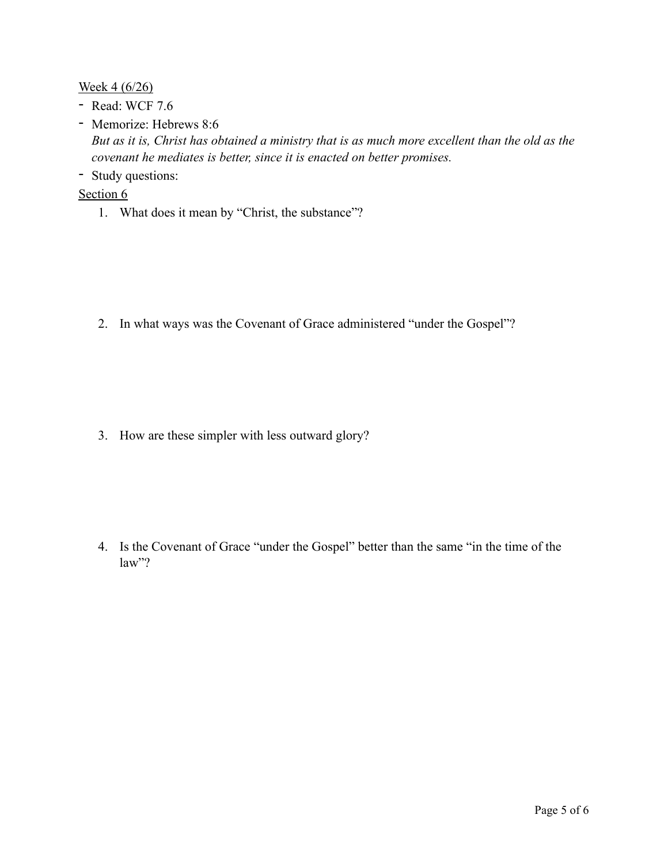Week 4 (6/26)

- Read: WCF 7.6
- Memorize: Hebrews 8:6 *But as it is, Christ has obtained a ministry that is as much more excellent than the old as the covenant he mediates is better, since it is enacted on better promises.*
- Study questions:

#### Section 6

1. What does it mean by "Christ, the substance"?

2. In what ways was the Covenant of Grace administered "under the Gospel"?

3. How are these simpler with less outward glory?

4. Is the Covenant of Grace "under the Gospel" better than the same "in the time of the law"?